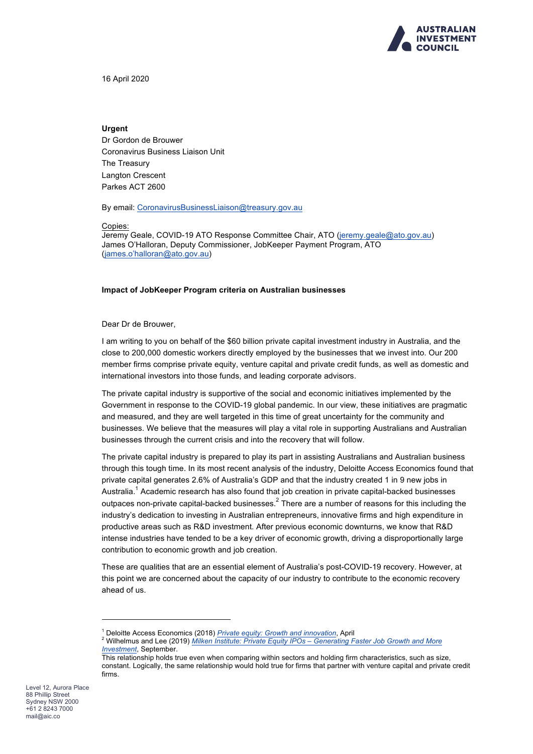

16 April 2020

### **Urgent**

Dr Gordon de Brouwer Coronavirus Business Liaison Unit The Treasury Langton Crescent Parkes ACT 2600

By email: CoronavirusBusinessLiaison@treasury.gov.au

#### Copies:

Jeremy Geale, COVID-19 ATO Response Committee Chair, ATO (jeremy.geale@ato.gov.au) James O'Halloran, Deputy Commissioner, JobKeeper Payment Program, ATO (james.o'halloran@ato.gov.au)

#### **Impact of JobKeeper Program criteria on Australian businesses**

Dear Dr de Brouwer,

I am writing to you on behalf of the \$60 billion private capital investment industry in Australia, and the close to 200,000 domestic workers directly employed by the businesses that we invest into. Our 200 member firms comprise private equity, venture capital and private credit funds, as well as domestic and international investors into those funds, and leading corporate advisors.

The private capital industry is supportive of the social and economic initiatives implemented by the Government in response to the COVID-19 global pandemic. In our view, these initiatives are pragmatic and measured, and they are well targeted in this time of great uncertainty for the community and businesses. We believe that the measures will play a vital role in supporting Australians and Australian businesses through the current crisis and into the recovery that will follow.

The private capital industry is prepared to play its part in assisting Australians and Australian business through this tough time. In its most recent analysis of the industry, Deloitte Access Economics found that private capital generates 2.6% of Australia's GDP and that the industry created 1 in 9 new jobs in Australia.<sup>1</sup> Academic research has also found that job creation in private capital-backed businesses outpaces non-private capital-backed businesses. $<sup>2</sup>$  There are a number of reasons for this including the</sup> industry's dedication to investing in Australian entrepreneurs, innovative firms and high expenditure in productive areas such as R&D investment. After previous economic downturns, we know that R&D intense industries have tended to be a key driver of economic growth, driving a disproportionally large contribution to economic growth and job creation.

These are qualities that are an essential element of Australia's post-COVID-19 recovery. However, at this point we are concerned about the capacity of our industry to contribute to the economic recovery ahead of us.

 $\overline{a}$ 

<sup>1</sup> Deloitte Access Economics (2018) *Private equity: Growth and innovation*, April <sup>2</sup> Wilhelmus and Lee (2019) *Milken Institute: Private Equity IPOs – Generating Faster Job Growth and More Investment*, September.

This relationship holds true even when comparing within sectors and holding firm characteristics, such as size, constant. Logically, the same relationship would hold true for firms that partner with venture capital and private credit firms.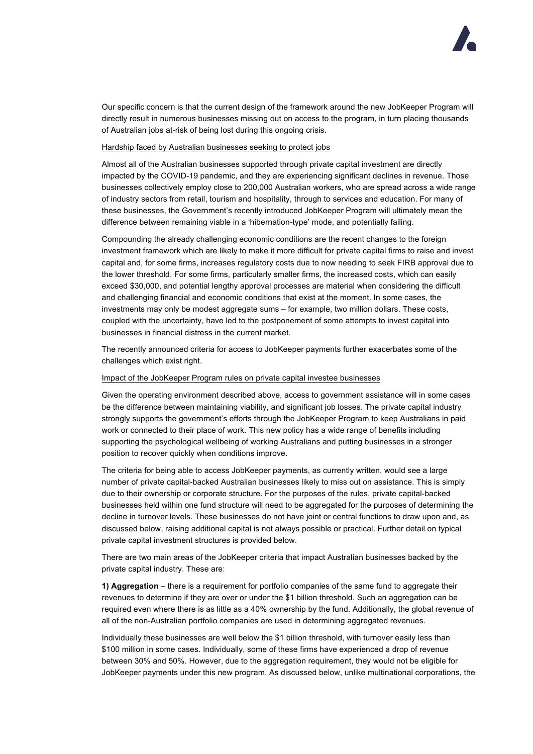Our specific concern is that the current design of the framework around the new JobKeeper Program will directly result in numerous businesses missing out on access to the program, in turn placing thousands of Australian jobs at-risk of being lost during this ongoing crisis.

## Hardship faced by Australian businesses seeking to protect jobs

Almost all of the Australian businesses supported through private capital investment are directly impacted by the COVID-19 pandemic, and they are experiencing significant declines in revenue. Those businesses collectively employ close to 200,000 Australian workers, who are spread across a wide range of industry sectors from retail, tourism and hospitality, through to services and education. For many of these businesses, the Government's recently introduced JobKeeper Program will ultimately mean the difference between remaining viable in a 'hibernation-type' mode, and potentially failing.

Compounding the already challenging economic conditions are the recent changes to the foreign investment framework which are likely to make it more difficult for private capital firms to raise and invest capital and, for some firms, increases regulatory costs due to now needing to seek FIRB approval due to the lower threshold. For some firms, particularly smaller firms, the increased costs, which can easily exceed \$30,000, and potential lengthy approval processes are material when considering the difficult and challenging financial and economic conditions that exist at the moment. In some cases, the investments may only be modest aggregate sums – for example, two million dollars. These costs, coupled with the uncertainty, have led to the postponement of some attempts to invest capital into businesses in financial distress in the current market.

The recently announced criteria for access to JobKeeper payments further exacerbates some of the challenges which exist right.

# Impact of the JobKeeper Program rules on private capital investee businesses

Given the operating environment described above, access to government assistance will in some cases be the difference between maintaining viability, and significant job losses. The private capital industry strongly supports the government's efforts through the JobKeeper Program to keep Australians in paid work or connected to their place of work. This new policy has a wide range of benefits including supporting the psychological wellbeing of working Australians and putting businesses in a stronger position to recover quickly when conditions improve.

The criteria for being able to access JobKeeper payments, as currently written, would see a large number of private capital-backed Australian businesses likely to miss out on assistance. This is simply due to their ownership or corporate structure. For the purposes of the rules, private capital-backed businesses held within one fund structure will need to be aggregated for the purposes of determining the decline in turnover levels. These businesses do not have joint or central functions to draw upon and, as discussed below, raising additional capital is not always possible or practical. Further detail on typical private capital investment structures is provided below.

There are two main areas of the JobKeeper criteria that impact Australian businesses backed by the private capital industry. These are:

**1) Aggregation** – there is a requirement for portfolio companies of the same fund to aggregate their revenues to determine if they are over or under the \$1 billion threshold. Such an aggregation can be required even where there is as little as a 40% ownership by the fund. Additionally, the global revenue of all of the non-Australian portfolio companies are used in determining aggregated revenues.

Individually these businesses are well below the \$1 billion threshold, with turnover easily less than \$100 million in some cases. Individually, some of these firms have experienced a drop of revenue between 30% and 50%. However, due to the aggregation requirement, they would not be eligible for JobKeeper payments under this new program. As discussed below, unlike multinational corporations, the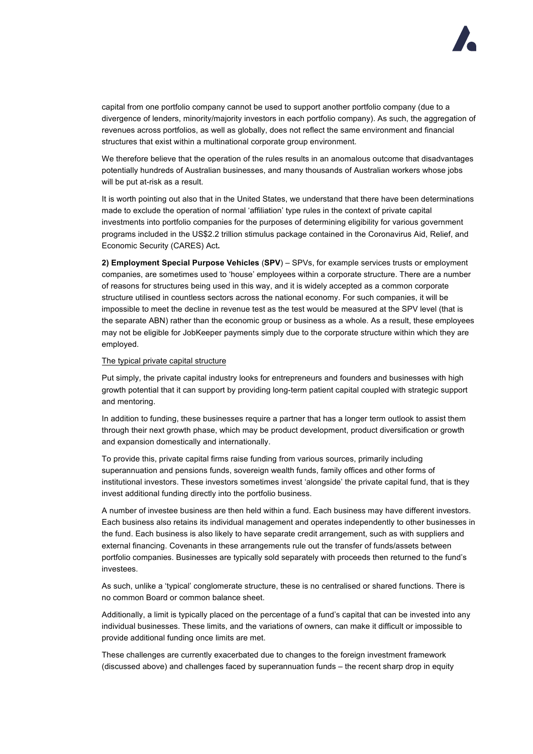capital from one portfolio company cannot be used to support another portfolio company (due to a divergence of lenders, minority/majority investors in each portfolio company). As such, the aggregation of revenues across portfolios, as well as globally, does not reflect the same environment and financial structures that exist within a multinational corporate group environment.

We therefore believe that the operation of the rules results in an anomalous outcome that disadvantages potentially hundreds of Australian businesses, and many thousands of Australian workers whose jobs will be put at-risk as a result.

It is worth pointing out also that in the United States, we understand that there have been determinations made to exclude the operation of normal 'affiliation' type rules in the context of private capital investments into portfolio companies for the purposes of determining eligibility for various government programs included in the US\$2.2 trillion stimulus package contained in the Coronavirus Aid, Relief, and Economic Security (CARES) Act**.**

**2) Employment Special Purpose Vehicles** (**SPV**) – SPVs, for example services trusts or employment companies, are sometimes used to 'house' employees within a corporate structure. There are a number of reasons for structures being used in this way, and it is widely accepted as a common corporate structure utilised in countless sectors across the national economy. For such companies, it will be impossible to meet the decline in revenue test as the test would be measured at the SPV level (that is the separate ABN) rather than the economic group or business as a whole. As a result, these employees may not be eligible for JobKeeper payments simply due to the corporate structure within which they are employed.

### The typical private capital structure

Put simply, the private capital industry looks for entrepreneurs and founders and businesses with high growth potential that it can support by providing long-term patient capital coupled with strategic support and mentoring.

In addition to funding, these businesses require a partner that has a longer term outlook to assist them through their next growth phase, which may be product development, product diversification or growth and expansion domestically and internationally.

To provide this, private capital firms raise funding from various sources, primarily including superannuation and pensions funds, sovereign wealth funds, family offices and other forms of institutional investors. These investors sometimes invest 'alongside' the private capital fund, that is they invest additional funding directly into the portfolio business.

A number of investee business are then held within a fund. Each business may have different investors. Each business also retains its individual management and operates independently to other businesses in the fund. Each business is also likely to have separate credit arrangement, such as with suppliers and external financing. Covenants in these arrangements rule out the transfer of funds/assets between portfolio companies. Businesses are typically sold separately with proceeds then returned to the fund's investees.

As such, unlike a 'typical' conglomerate structure, these is no centralised or shared functions. There is no common Board or common balance sheet.

Additionally, a limit is typically placed on the percentage of a fund's capital that can be invested into any individual businesses. These limits, and the variations of owners, can make it difficult or impossible to provide additional funding once limits are met.

These challenges are currently exacerbated due to changes to the foreign investment framework (discussed above) and challenges faced by superannuation funds – the recent sharp drop in equity